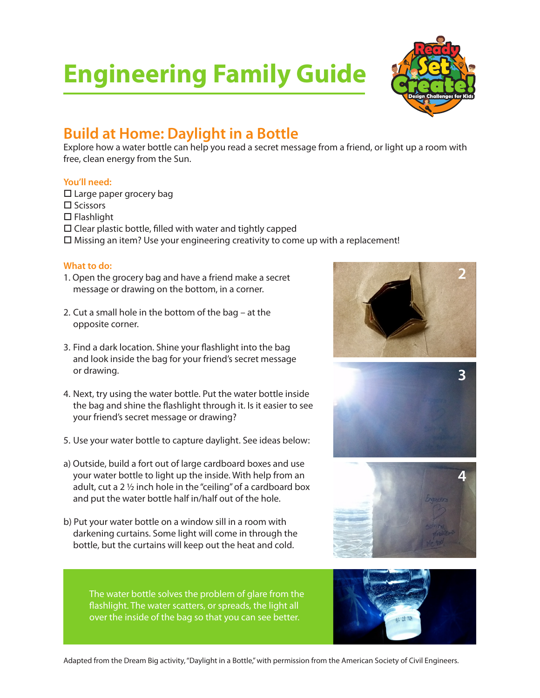# **Engineering Family Guide**



### **Build at Home: Daylight in a Bottle**

Explore how a water bottle can help you read a secret message from a friend, or light up a room with free, clean energy from the Sun.

#### **You'll need:**

 $\square$  Large paper grocery bag

- $\square$  Scissors
- $\square$  Flashlight

 $\square$  Clear plastic bottle, filled with water and tightly capped

 $\square$  Missing an item? Use your engineering creativity to come up with a replacement!

#### **What to do:**

- 1. Open the grocery bag and have a friend make a secret message or drawing on the bottom, in a corner.
- 2. Cut a small hole in the bottom of the bag at the opposite corner.
- 3. Find a dark location. Shine your flashlight into the bag and look inside the bag for your friend's secret message or drawing.
- 4. Next, try using the water bottle. Put the water bottle inside the bag and shine the flashlight through it. Is it easier to see your friend's secret message or drawing?
- 5. Use your water bottle to capture daylight. See ideas below:
- a) Outside, build a fort out of large cardboard boxes and use your water bottle to light up the inside. With help from an adult, cut a 2 ½ inch hole in the "ceiling" of a cardboard box and put the water bottle half in/half out of the hole.
- b) Put your water bottle on a window sill in a room with darkening curtains. Some light will come in through the bottle, but the curtains will keep out the heat and cold.



The water bottle solves the problem of glare from the flashlight. The water scatters, or spreads, the light all over the inside of the bag so that you can see better.